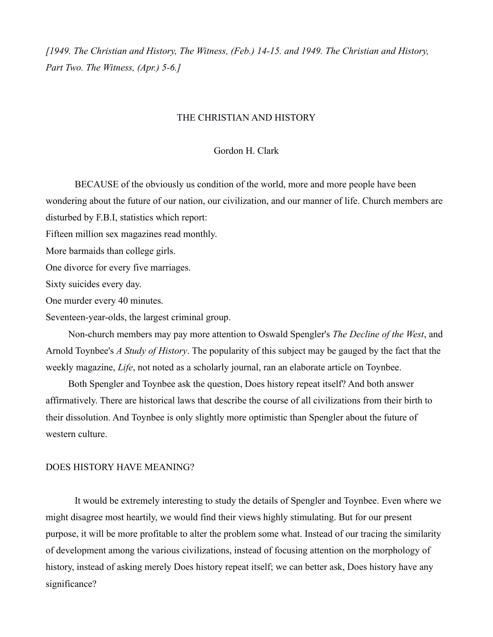*[1949. The Christian and History, The Witness, (Feb.) 14-15. and 1949. The Christian and History, Part Two. The Witness, (Apr.) 5-6.]*

## THE CHRISTIAN AND HISTORY

## Gordon H. Clark

BECAUSE of the obviously us condition of the world, more and more people have been wondering about the future of our nation, our civilization, and our manner of life. Church members are disturbed by F.B.I, statistics which report:

Fifteen million sex magazines read monthly.

More barmaids than college girls.

One divorce for every five marriages.

Sixty suicides every day.

One murder every 40 minutes.

Seventeen-year-olds, the largest criminal group.

Non-church members may pay more attention to Oswald Spengler's *The Decline of the West*, and Arnold Toynbee's *A Study of History*. The popularity of this subject may be gauged by the fact that the weekly magazine, *Life*, not noted as a scholarly journal, ran an elaborate article on Toynbee.

Both Spengler and Toynbee ask the question, Does history repeat itself? And both answer affirmatively. There are historical laws that describe the course of all civilizations from their birth to their dissolution. And Toynbee is only slightly more optimistic than Spengler about the future of western culture.

## DOES HISTORY HAVE MEANING?

It would be extremely interesting to study the details of Spengler and Toynbee. Even where we might disagree most heartily, we would find their views highly stimulating. But for our present purpose, it will be more profitable to alter the problem some what. Instead of our tracing the similarity of development among the various civilizations, instead of focusing attention on the morphology of history, instead of asking merely Does history repeat itself; we can better ask, Does history have any significance?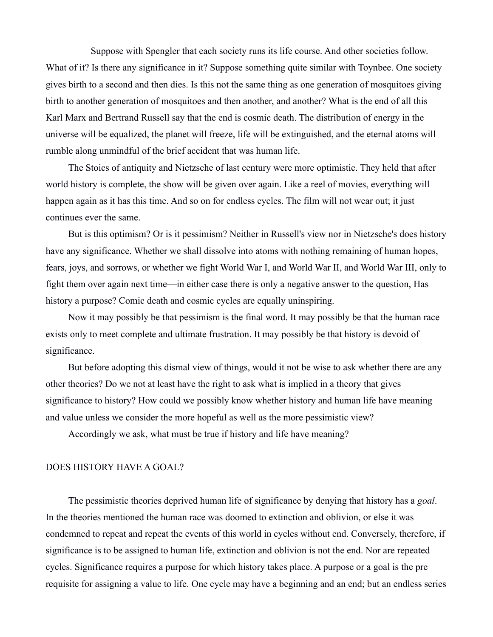Suppose with Spengler that each society runs its life course. And other societies follow. What of it? Is there any significance in it? Suppose something quite similar with Toynbee. One society gives birth to a second and then dies. Is this not the same thing as one generation of mosquitoes giving birth to another generation of mosquitoes and then another, and another? What is the end of all this Karl Marx and Bertrand Russell say that the end is cosmic death. The distribution of energy in the universe will be equalized, the planet will freeze, life will be extinguished, and the eternal atoms will rumble along unmindful of the brief accident that was human life.

The Stoics of antiquity and Nietzsche of last century were more optimistic. They held that after world history is complete, the show will be given over again. Like a reel of movies, everything will happen again as it has this time. And so on for endless cycles. The film will not wear out; it just continues ever the same.

But is this optimism? Or is it pessimism? Neither in Russell's view nor in Nietzsche's does history have any significance. Whether we shall dissolve into atoms with nothing remaining of human hopes, fears, joys, and sorrows, or whether we fight World War I, and World War II, and World War III, only to fight them over again next time—in either case there is only a negative answer to the question, Has history a purpose? Comic death and cosmic cycles are equally uninspiring.

Now it may possibly be that pessimism is the final word. It may possibly be that the human race exists only to meet complete and ultimate frustration. It may possibly be that history is devoid of significance.

But before adopting this dismal view of things, would it not be wise to ask whether there are any other theories? Do we not at least have the right to ask what is implied in a theory that gives significance to history? How could we possibly know whether history and human life have meaning and value unless we consider the more hopeful as well as the more pessimistic view?

Accordingly we ask, what must be true if history and life have meaning?

## DOES HISTORY HAVE A GOAL?

The pessimistic theories deprived human life of significance by denying that history has a *goal*. In the theories mentioned the human race was doomed to extinction and oblivion, or else it was condemned to repeat and repeat the events of this world in cycles without end. Conversely, therefore, if significance is to be assigned to human life, extinction and oblivion is not the end. Nor are repeated cycles. Significance requires a purpose for which history takes place. A purpose or a goal is the pre requisite for assigning a value to life. One cycle may have a beginning and an end; but an endless series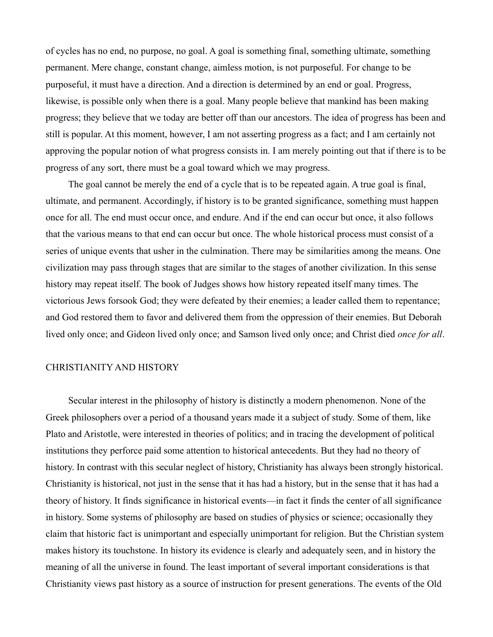of cycles has no end, no purpose, no goal. A goal is something final, something ultimate, something permanent. Mere change, constant change, aimless motion, is not purposeful. For change to be purposeful, it must have a direction. And a direction is determined by an end or goal. Progress, likewise, is possible only when there is a goal. Many people believe that mankind has been making progress; they believe that we today are better off than our ancestors. The idea of progress has been and still is popular. At this moment, however, I am not asserting progress as a fact; and I am certainly not approving the popular notion of what progress consists in. I am merely pointing out that if there is to be progress of any sort, there must be a goal toward which we may progress.

The goal cannot be merely the end of a cycle that is to be repeated again. A true goal is final, ultimate, and permanent. Accordingly, if history is to be granted significance, something must happen once for all. The end must occur once, and endure. And if the end can occur but once, it also follows that the various means to that end can occur but once. The whole historical process must consist of a series of unique events that usher in the culmination. There may be similarities among the means. One civilization may pass through stages that are similar to the stages of another civilization. In this sense history may repeat itself. The book of Judges shows how history repeated itself many times. The victorious Jews forsook God; they were defeated by their enemies; a leader called them to repentance; and God restored them to favor and delivered them from the oppression of their enemies. But Deborah lived only once; and Gideon lived only once; and Samson lived only once; and Christ died *once for all*.

## CHRISTIANITY AND HISTORY

Secular interest in the philosophy of history is distinctly a modern phenomenon. None of the Greek philosophers over a period of a thousand years made it a subject of study. Some of them, like Plato and Aristotle, were interested in theories of politics; and in tracing the development of political institutions they perforce paid some attention to historical antecedents. But they had no theory of history. In contrast with this secular neglect of history, Christianity has always been strongly historical. Christianity is historical, not just in the sense that it has had a history, but in the sense that it has had a theory of history. It finds significance in historical events—in fact it finds the center of all significance in history. Some systems of philosophy are based on studies of physics or science; occasionally they claim that historic fact is unimportant and especially unimportant for religion. But the Christian system makes history its touchstone. In history its evidence is clearly and adequately seen, and in history the meaning of all the universe in found. The least important of several important considerations is that Christianity views past history as a source of instruction for present generations. The events of the Old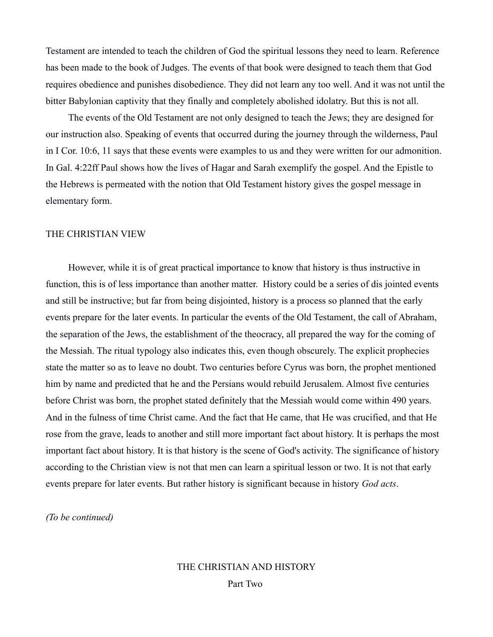Testament are intended to teach the children of God the spiritual lessons they need to learn. Reference has been made to the book of Judges. The events of that book were designed to teach them that God requires obedience and punishes disobedience. They did not learn any too well. And it was not until the bitter Babylonian captivity that they finally and completely abolished idolatry. But this is not all.

The events of the Old Testament are not only designed to teach the Jews; they are designed for our instruction also. Speaking of events that occurred during the journey through the wilderness, Paul in I Cor. 10:6, 11 says that these events were examples to us and they were written for our admonition. In Gal. 4:22ff Paul shows how the lives of Hagar and Sarah exemplify the gospel. And the Epistle to the Hebrews is permeated with the notion that Old Testament history gives the gospel message in elementary form.

## THE CHRISTIAN VIEW

However, while it is of great practical importance to know that history is thus instructive in function, this is of less importance than another matter. History could be a series of dis jointed events and still be instructive; but far from being disjointed, history is a process so planned that the early events prepare for the later events. In particular the events of the Old Testament, the call of Abraham, the separation of the Jews, the establishment of the theocracy, all prepared the way for the coming of the Messiah. The ritual typology also indicates this, even though obscurely. The explicit prophecies state the matter so as to leave no doubt. Two centuries before Cyrus was born, the prophet mentioned him by name and predicted that he and the Persians would rebuild Jerusalem. Almost five centuries before Christ was born, the prophet stated definitely that the Messiah would come within 490 years. And in the fulness of time Christ came. And the fact that He came, that He was crucified, and that He rose from the grave, leads to another and still more important fact about history. It is perhaps the most important fact about history. It is that history is the scene of God's activity. The significance of history according to the Christian view is not that men can learn a spiritual lesson or two. It is not that early events prepare for later events. But rather history is significant because in history *God acts*.

*(To be continued)*

# THE CHRISTIAN AND HISTORY Part Two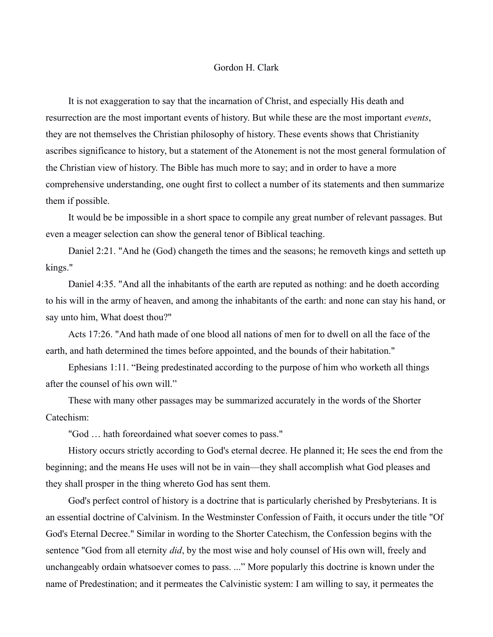#### Gordon H. Clark

It is not exaggeration to say that the incarnation of Christ, and especially His death and resurrection are the most important events of history. But while these are the most important *events*, they are not themselves the Christian philosophy of history. These events shows that Christianity ascribes significance to history, but a statement of the Atonement is not the most general formulation of the Christian view of history. The Bible has much more to say; and in order to have a more comprehensive understanding, one ought first to collect a number of its statements and then summarize them if possible.

It would be be impossible in a short space to compile any great number of relevant passages. But even a meager selection can show the general tenor of Biblical teaching.

Daniel 2:21. "And he (God) changeth the times and the seasons; he removeth kings and setteth up kings."

Daniel 4:35. "And all the inhabitants of the earth are reputed as nothing: and he doeth according to his will in the army of heaven, and among the inhabitants of the earth: and none can stay his hand, or say unto him, What doest thou?"

Acts 17:26. "And hath made of one blood all nations of men for to dwell on all the face of the earth, and hath determined the times before appointed, and the bounds of their habitation."

Ephesians 1:11. "Being predestinated according to the purpose of him who worketh all things after the counsel of his own will."

These with many other passages may be summarized accurately in the words of the Shorter Catechism:

"God … hath foreordained what soever comes to pass."

History occurs strictly according to God's eternal decree. He planned it; He sees the end from the beginning; and the means He uses will not be in vain—they shall accomplish what God pleases and they shall prosper in the thing whereto God has sent them.

God's perfect control of history is a doctrine that is particularly cherished by Presbyterians. It is an essential doctrine of Calvinism. In the Westminster Confession of Faith, it occurs under the title "Of God's Eternal Decree." Similar in wording to the Shorter Catechism, the Confession begins with the sentence "God from all eternity *did*, by the most wise and holy counsel of His own will, freely and unchangeably ordain whatsoever comes to pass. ..." More popularly this doctrine is known under the name of Predestination; and it permeates the Calvinistic system: I am willing to say, it permeates the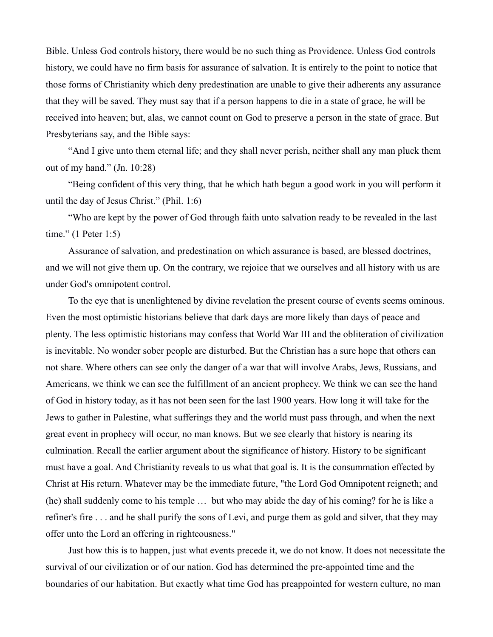Bible. Unless God controls history, there would be no such thing as Providence. Unless God controls history, we could have no firm basis for assurance of salvation. It is entirely to the point to notice that those forms of Christianity which deny predestination are unable to give their adherents any assurance that they will be saved. They must say that if a person happens to die in a state of grace, he will be received into heaven; but, alas, we cannot count on God to preserve a person in the state of grace. But Presbyterians say, and the Bible says:

"And I give unto them eternal life; and they shall never perish, neither shall any man pluck them out of my hand." (Jn. 10:28)

"Being confident of this very thing, that he which hath begun a good work in you will perform it until the day of Jesus Christ." (Phil. 1:6)

"Who are kept by the power of God through faith unto salvation ready to be revealed in the last time." (1 Peter 1:5)

Assurance of salvation, and predestination on which assurance is based, are blessed doctrines, and we will not give them up. On the contrary, we rejoice that we ourselves and all history with us are under God's omnipotent control.

To the eye that is unenlightened by divine revelation the present course of events seems ominous. Even the most optimistic historians believe that dark days are more likely than days of peace and plenty. The less optimistic historians may confess that World War III and the obliteration of civilization is inevitable. No wonder sober people are disturbed. But the Christian has a sure hope that others can not share. Where others can see only the danger of a war that will involve Arabs, Jews, Russians, and Americans, we think we can see the fulfillment of an ancient prophecy. We think we can see the hand of God in history today, as it has not been seen for the last 1900 years. How long it will take for the Jews to gather in Palestine, what sufferings they and the world must pass through, and when the next great event in prophecy will occur, no man knows. But we see clearly that history is nearing its culmination. Recall the earlier argument about the significance of history. History to be significant must have a goal. And Christianity reveals to us what that goal is. It is the consummation effected by Christ at His return. Whatever may be the immediate future, "the Lord God Omnipotent reigneth; and (he) shall suddenly come to his temple … but who may abide the day of his coming? for he is like a refiner's fire . . . and he shall purify the sons of Levi, and purge them as gold and silver, that they may offer unto the Lord an offering in righteousness."

Just how this is to happen, just what events precede it, we do not know. It does not necessitate the survival of our civilization or of our nation. God has determined the pre-appointed time and the boundaries of our habitation. But exactly what time God has preappointed for western culture, no man